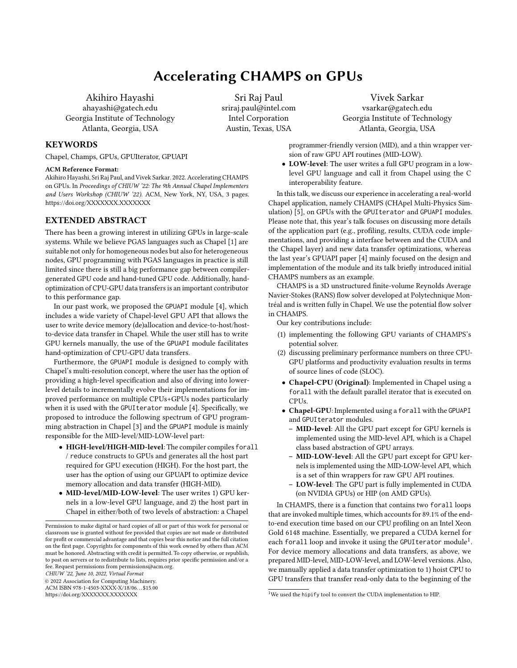# Accelerating CHAMPS on GPUs

Akihiro Hayashi ahayashi@gatech.edu Georgia Institute of Technology Atlanta, Georgia, USA

Sri Raj Paul sriraj.paul@intel.com Intel Corporation Austin, Texas, USA

## Vivek Sarkar vsarkar@gatech.edu Georgia Institute of Technology Atlanta, Georgia, USA

programmer-friendly version (MID), and a thin wrapper version of raw GPU API routines (MID-LOW).

• LOW-level: The user writes a full GPU program in a lowlevel GPU language and call it from Chapel using the C interoperability feature.

In this talk, we discuss our experience in accelerating a real-world Chapel application, namely CHAMPS (CHApel Multi-Physics Simulation) [\[5\]](#page-2-4), on GPUs with the GPUIterator and GPUAPI modules. Please note that, this year's talk focuses on discussing more details of the application part (e.g., profiling, results, CUDA code implementations, and providing a interface between and the CUDA and the Chapel layer) and new data transfer optimizations, whereas the last year's GPUAPI paper [\[4\]](#page-2-2) mainly focused on the design and implementation of the module and its talk briefly introduced initial CHAMPS numbers as an example.

CHAMPS is a 3D unstructured finite-volume Reynolds Average Navier-Stokes (RANS) flow solver developed at Polytechnique Montréal and is written fully in Chapel. We use the potential flow solver in CHAMPS.

Our key contributions include:

- (1) implementing the following GPU variants of CHAMPS's potential solver.
- (2) discussing preliminary performance numbers on three CPU-GPU platforms and productivity evaluation results in terms of source lines of code (SLOC).
- Chapel-CPU (Original): Implemented in Chapel using a forall with the default parallel iterator that is executed on CPUs.
- Chapel-GPU: Implemented using a forall with the GPUAPI and GPUIterator modules.
	- MID-level: All the GPU part except for GPU kernels is implemented using the MID-level API, which is a Chapel class based abstraction of GPU arrays.
	- MID-LOW-level: All the GPU part except for GPU kernels is implemented using the MID-LOW-level API, which is a set of thin wrappers for raw GPU API routines.
	- LOW-level: The GPU part is fully implemented in CUDA (on NVIDIA GPUs) or HIP (on AMD GPUs).

In CHAMPS, there is a function that contains two forall loops that are invoked multiple times, which accounts for 89.1% of the endto-end execution time based on our CPU profiling on an Intel Xeon Gold 6148 machine. Essentially, we prepared a CUDA kernel for each forall loop and invoke it using the GPUI terator module $^1.$  $^1.$  $^1.$ For device memory allocations and data transfers, as above, we prepared MID-level, MID-LOW-level, and LOW-level versions. Also, we manually applied a data transfer optimization to 1) hoist CPU to GPU transfers that transfer read-only data to the beginning of the

## **KEYWORDS**

Chapel, Champs, GPUs, GPUIterator, GPUAPI

#### ACM Reference Format:

Akihiro Hayashi, Sri Raj Paul, and Vivek Sarkar. 2022. Accelerating CHAMPS on GPUs. In Proceedings of CHIUW '22: The 9th Annual Chapel Implementers and Users Workshop (CHIUW '22). ACM, New York, NY, USA, [3](#page-2-0) pages. <https://doi.org/XXXXXXX.XXXXXXX>

## EXTENDED ABSTRACT

There has been a growing interest in utilizing GPUs in large-scale systems. While we believe PGAS languages such as Chapel [\[1\]](#page-2-1) are suitable not only for homogeneous nodes but also for heterogeneous nodes, GPU programming with PGAS languages in practice is still limited since there is still a big performance gap between compilergenerated GPU code and hand-tuned GPU code. Additionally, handoptimization of CPU-GPU data transfers is an important contributor to this performance gap.

In our past work, we proposed the GPUAPI module [\[4\]](#page-2-2), which includes a wide variety of Chapel-level GPU API that allows the user to write device memory (de)allocation and device-to-host/hostto-device data transfer in Chapel. While the user still has to write GPU kernels manually, the use of the GPUAPI module facilitates hand-optimization of CPU-GPU data transfers.

Furthermore, the GPUAPI module is designed to comply with Chapel's multi-resolution concept, where the user has the option of providing a high-level specification and also of diving into lowerlevel details to incrementally evolve their implementations for improved performance on multiple CPUs+GPUs nodes particularly when it is used with the GPUIterator module [\[4\]](#page-2-2). Specifically, we proposed to introduce the following spectrum of GPU programming abstraction in Chapel [\[3\]](#page-2-3) and the GPUAPI module is mainly responsible for the MID-level/MID-LOW-level part:

- HIGH-level/HIGH-MID-level: The compiler compiles forall / reduce constructs to GPUs and generates all the host part required for GPU execution (HIGH). For the host part, the user has the option of using our GPUAPI to optimize device memory allocation and data transfer (HIGH-MID).
- MID-level/MID-LOW-level: The user writes 1) GPU kernels in a low-level GPU language, and 2) the host part in Chapel in either/both of two levels of abstraction: a Chapel

CHIUW '22, June 10, 2022, Virtual Format

© 2022 Association for Computing Machinery.

ACM ISBN 978-1-4503-XXXX-X/18/06. . . \$15.00 <https://doi.org/XXXXXXX.XXXXXXX>

<span id="page-0-0"></span> $1$ We used the hipify tool to convert the CUDA implementation to HIP.

Permission to make digital or hard copies of all or part of this work for personal or classroom use is granted without fee provided that copies are not made or distributed for profit or commercial advantage and that copies bear this notice and the full citation on the first page. Copyrights for components of this work owned by others than ACM must be honored. Abstracting with credit is permitted. To copy otherwise, or republish, to post on servers or to redistribute to lists, requires prior specific permission and/or a fee. Request permissions from permissions@acm.org.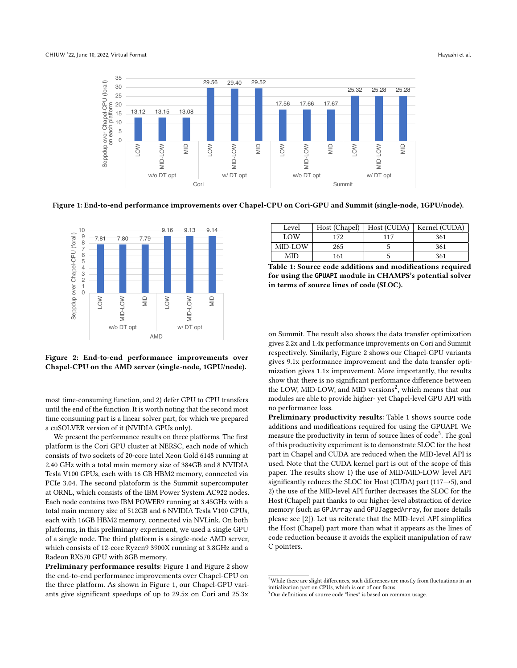<span id="page-1-0"></span>

Figure 1: End-to-end performance improvements over Chapel-CPU on Cori-GPU and Summit (single-node, 1GPU/node).

<span id="page-1-1"></span>

Figure 2: End-to-end performance improvements over Chapel-CPU on the AMD server (single-node, 1GPU/node).

most time-consuming function, and 2) defer GPU to CPU transfers until the end of the function. It is worth noting that the second most time consuming part is a linear solver part, for which we prepared a cuSOLVER version of it (NVIDIA GPUs only).

We present the performance results on three platforms. The first platform is the Cori GPU cluster at NERSC, each node of which consists of two sockets of 20-core Intel Xeon Gold 6148 running at 2.40 GHz with a total main memory size of 384GB and 8 NVIDIA Tesla V100 GPUs, each with 16 GB HBM2 memory, connected via PCIe 3.04. The second platoform is the Summit supercomputer at ORNL, which consists of the IBM Power System AC922 nodes. Each node contains two IBM POWER9 running at 3.45GHz with a total main memory size of 512GB and 6 NVIDIA Tesla V100 GPUs, each with 16GB HBM2 memory, connected via NVLink. On both platforms, in this preliminary experiment, we used a single GPU of a single node. The third platform is a single-node AMD server, which consists of 12-core Ryzen9 3900X running at 3.8GHz and a Radeon RX570 GPU with 8GB memory.

Preliminary performance results: [Figure 1](#page-1-0) and [Figure 2](#page-1-1) show the end-to-end performance improvements over Chapel-CPU on the three platform. As shown in [Figure 1,](#page-1-0) our Chapel-GPU variants give significant speedups of up to 29.5x on Cori and 25.3x

<span id="page-1-3"></span>

| Level      |     |     | Host (Chapel)   Host (CUDA)   Kernel (CUDA) |
|------------|-----|-----|---------------------------------------------|
| <b>LOW</b> | 172 | 117 | 361                                         |
| MID-LOW    | 265 |     | 361                                         |
| MID        | 161 |     | 361                                         |

Table 1: Source code additions and modifications required for using the **GPUAPI** module in CHAMPS's potential solver in terms of source lines of code (SLOC).

on Summit. The result also shows the data transfer optimization gives 2.2x and 1.4x performance improvements on Cori and Summit respectively. Similarly, [Figure 2](#page-1-1) shows our Chapel-GPU variants gives 9.1x performance improvement and the data transfer optimization gives 1.1x improvement. More importantly, the results show that there is no significant performance difference between the LOW, MID-LOW, and MID versions<sup>[2](#page-1-2)</sup>, which means that our modules are able to provide higher- yet Chapel-level GPU API with no performance loss.

Preliminary productivity results: [Table 1](#page-1-3) shows source code additions and modifications required for using the GPUAPI. We measure the productivity in term of source lines of code<sup>[3](#page-1-4)</sup>. The goal of this productivity experiment is to demonstrate SLOC for the host part in Chapel and CUDA are reduced when the MID-level API is used. Note that the CUDA kernel part is out of the scope of this paper. The results show 1) the use of MID/MID-LOW level API significantly reduces the SLOC for Host (CUDA) part (117→5), and 2) the use of the MID-level API further decreases the SLOC for the Host (Chapel) part thanks to our higher-level abstraction of device memory (such as GPUArray and GPUJaggedArray, for more details please see [\[2\]](#page-2-5)). Let us reiterate that the MID-level API simplifies the Host (Chapel) part more than what it appears as the lines of code reduction because it avoids the explicit manipulation of raw C pointers.

<span id="page-1-2"></span> $^2\overline{\text{While}}$  there are slight differences, such differences are mostly from fluctuations in an initialization part on CPUs, which is out of our focus.

<span id="page-1-4"></span><sup>&</sup>lt;sup>3</sup>Our definitions of source code "lines" is based on common usage.